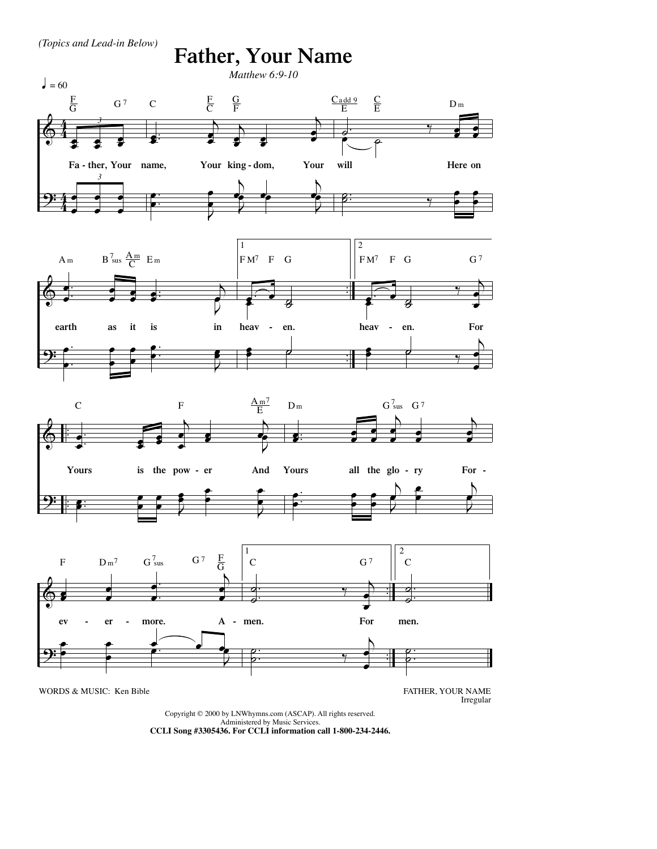

## **Father, Your Name**









Irregular

Copyright © 2000 by LNWhymns.com (ASCAP). All rights reserved.

Administered by Music Services.<br>CCLI Song #330**5436. For CCLI information call 1-800-234-2446.**